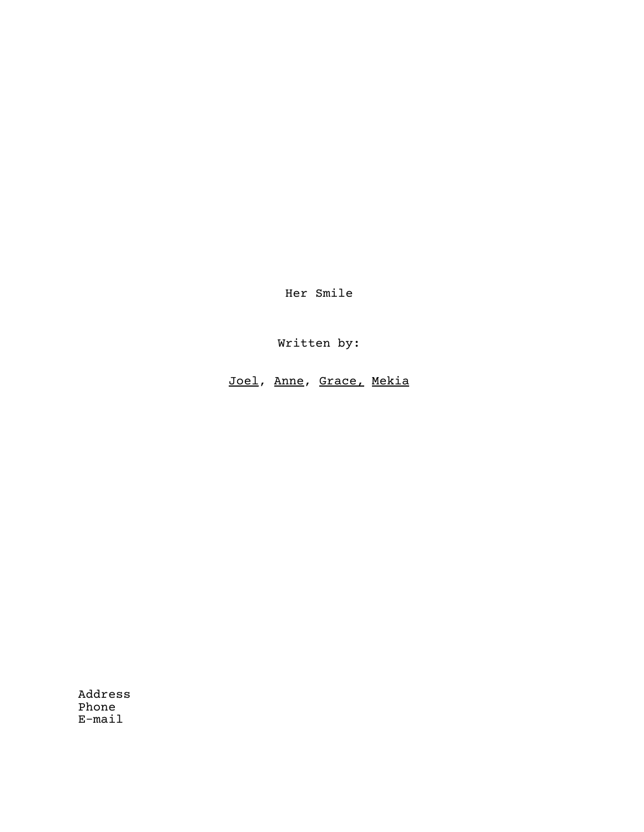Her Smile

Written by:

Joel, Anne, Grace, Mekia

Address Phone E-mail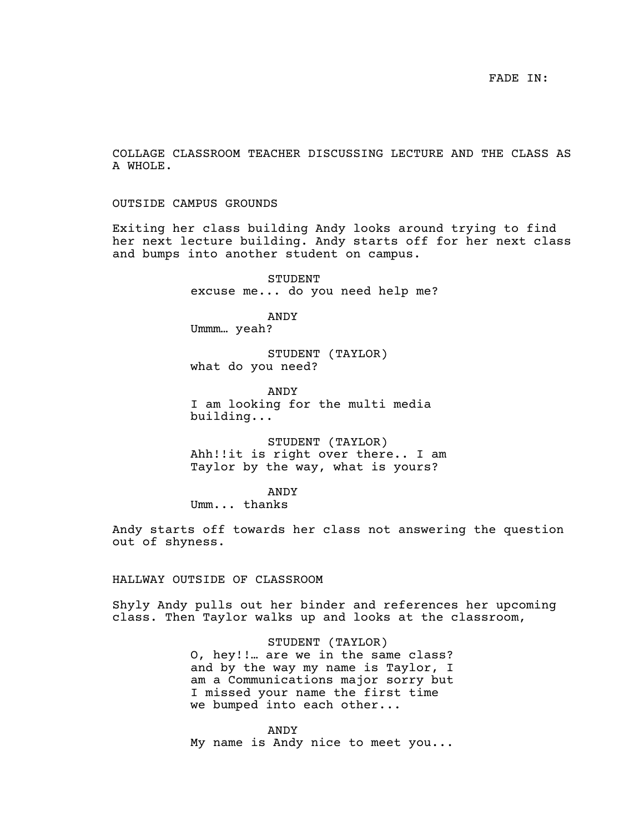COLLAGE CLASSROOM TEACHER DISCUSSING LECTURE AND THE CLASS AS A WHOLE.

OUTSIDE CAMPUS GROUNDS

Exiting her class building Andy looks around trying to find her next lecture building. Andy starts off for her next class and bumps into another student on campus.

> STUDENT excuse me... do you need help me?

ANDY Ummm… yeah?

STUDENT (TAYLOR) what do you need?

ANDY I am looking for the multi media building...

STUDENT (TAYLOR) Ahh!!it is right over there.. I am Taylor by the way, what is yours?

ANDY Umm... thanks

Andy starts off towards her class not answering the question out of shyness.

HALLWAY OUTSIDE OF CLASSROOM

Shyly Andy pulls out her binder and references her upcoming class. Then Taylor walks up and looks at the classroom,

> STUDENT (TAYLOR) O, hey!!… are we in the same class? and by the way my name is Taylor, I am a Communications major sorry but I missed your name the first time we bumped into each other...

ANDY My name is Andy nice to meet you...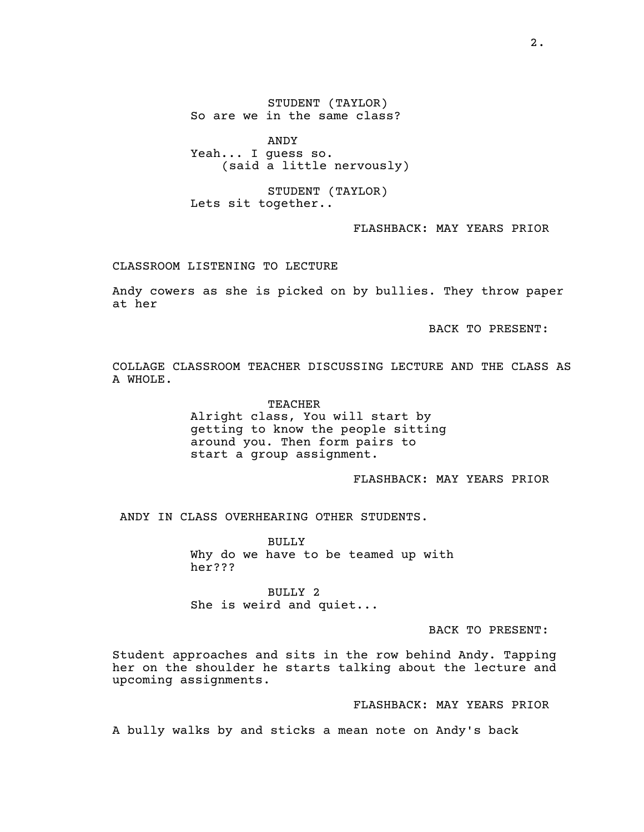STUDENT (TAYLOR) So are we in the same class?

ANDY Yeah... I guess so. (said a little nervously)

STUDENT (TAYLOR) Lets sit together..

FLASHBACK: MAY YEARS PRIOR

CLASSROOM LISTENING TO LECTURE

Andy cowers as she is picked on by bullies. They throw paper at her

BACK TO PRESENT:

COLLAGE CLASSROOM TEACHER DISCUSSING LECTURE AND THE CLASS AS A WHOLE.

> TEACHER Alright class, You will start by getting to know the people sitting around you. Then form pairs to start a group assignment.

> > FLASHBACK: MAY YEARS PRIOR

ANDY IN CLASS OVERHEARING OTHER STUDENTS.

BULLY Why do we have to be teamed up with her???

BULLY 2 She is weird and quiet...

BACK TO PRESENT:

Student approaches and sits in the row behind Andy. Tapping her on the shoulder he starts talking about the lecture and upcoming assignments.

FLASHBACK: MAY YEARS PRIOR

A bully walks by and sticks a mean note on Andy's back